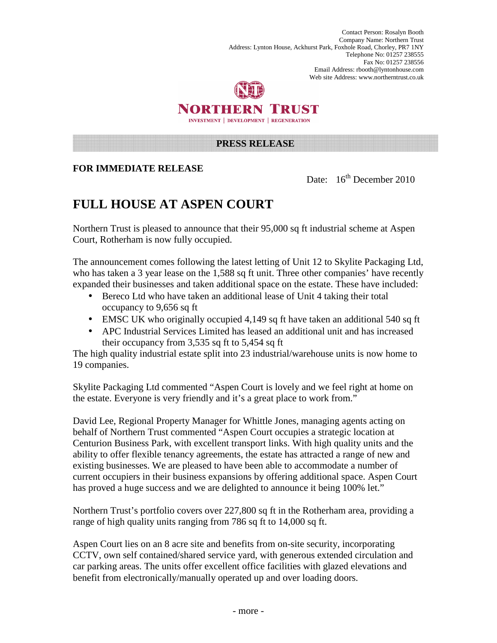



## **PRESS RELEASE**

## **FOR IMMEDIATE RELEASE**

Date:  $16^{th}$  December 2010

## **FULL HOUSE AT ASPEN COURT**

Northern Trust is pleased to announce that their 95,000 sq ft industrial scheme at Aspen Court, Rotherham is now fully occupied.

The announcement comes following the latest letting of Unit 12 to Skylite Packaging Ltd, who has taken a 3 year lease on the 1,588 sq ft unit. Three other companies' have recently expanded their businesses and taken additional space on the estate. These have included:

- Bereco Ltd who have taken an additional lease of Unit 4 taking their total occupancy to 9,656 sq ft
- EMSC UK who originally occupied 4,149 sq ft have taken an additional 540 sq ft
- APC Industrial Services Limited has leased an additional unit and has increased their occupancy from 3,535 sq ft to 5,454 sq ft

The high quality industrial estate split into 23 industrial/warehouse units is now home to 19 companies.

Skylite Packaging Ltd commented "Aspen Court is lovely and we feel right at home on the estate. Everyone is very friendly and it's a great place to work from."

David Lee, Regional Property Manager for Whittle Jones, managing agents acting on behalf of Northern Trust commented "Aspen Court occupies a strategic location at Centurion Business Park, with excellent transport links. With high quality units and the ability to offer flexible tenancy agreements, the estate has attracted a range of new and existing businesses. We are pleased to have been able to accommodate a number of current occupiers in their business expansions by offering additional space. Aspen Court has proved a huge success and we are delighted to announce it being 100% let."

Northern Trust's portfolio covers over 227,800 sq ft in the Rotherham area, providing a range of high quality units ranging from 786 sq ft to 14,000 sq ft.

Aspen Court lies on an 8 acre site and benefits from on-site security, incorporating CCTV, own self contained/shared service yard, with generous extended circulation and car parking areas. The units offer excellent office facilities with glazed elevations and benefit from electronically/manually operated up and over loading doors.